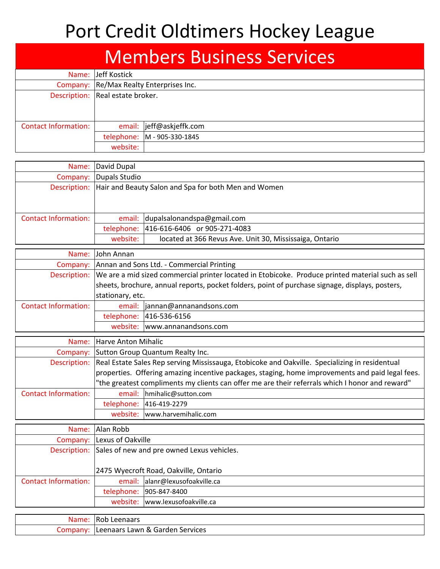## Port Credit Oldtimers Hockey League

### **Members Business Services**

|                             | Name: Jeff Kostick                      |                             |  |  |
|-----------------------------|-----------------------------------------|-----------------------------|--|--|
|                             | Company: Re/Max Realty Enterprises Inc. |                             |  |  |
|                             | Description: Real estate broker.        |                             |  |  |
|                             |                                         |                             |  |  |
|                             |                                         |                             |  |  |
| <b>Contact Information:</b> |                                         | email:  jeff@askjeffk.com   |  |  |
|                             |                                         | telephone: M - 905-330-1845 |  |  |
|                             | website:                                |                             |  |  |

| Name:                | David Dupal   |                                                                   |
|----------------------|---------------|-------------------------------------------------------------------|
| Company:             | Dupals Studio |                                                                   |
|                      |               | Description: Hair and Beauty Salon and Spa for both Men and Women |
|                      |               |                                                                   |
|                      |               |                                                                   |
| Contact Information: |               | email: dupalsalonandspa@gmail.com                                 |
|                      |               | telephone: 416-616-6406 or 905-271-4083                           |
|                      | website:      | located at 366 Revus Ave. Unit 30, Mississaiga, Ontario           |

| Name:                       | <b>John Annan</b>                                                                                              |                                 |  |
|-----------------------------|----------------------------------------------------------------------------------------------------------------|---------------------------------|--|
|                             | Company: Annan and Sons Ltd. - Commercial Printing                                                             |                                 |  |
|                             | Description: We are a mid sized commercial printer located in Etobicoke. Produce printed material such as sell |                                 |  |
|                             | sheets, brochure, annual reports, pocket folders, point of purchase signage, displays, posters,                |                                 |  |
|                             | stationary, etc.                                                                                               |                                 |  |
| <b>Contact Information:</b> |                                                                                                                | email:  jannan@annanandsons.com |  |
|                             | telephone:                                                                                                     | 416-536-6156                    |  |
|                             | website: www.annanandsons.com                                                                                  |                                 |  |

|                             | Name: Harve Anton Mihalic                                                                                   |                               |  |
|-----------------------------|-------------------------------------------------------------------------------------------------------------|-------------------------------|--|
|                             | Company: Sutton Group Quantum Realty Inc.                                                                   |                               |  |
|                             | Description: Real Estate Sales Rep serving Mississauga, Etobicoke and Oakville. Specializing in residentual |                               |  |
|                             | properties. Offering amazing incentive packages, staging, home improvements and paid legal fees.            |                               |  |
|                             | "the greatest compliments my clients can offer me are their referrals which I honor and reward"             |                               |  |
| <b>Contact Information:</b> |                                                                                                             | email:   hmihalic@sutton.com  |  |
|                             |                                                                                                             | telephone: 416-419-2279       |  |
|                             |                                                                                                             | website: www.harvemihalic.com |  |

|                             | Name: Alan Robb                       |                                                         |  |  |
|-----------------------------|---------------------------------------|---------------------------------------------------------|--|--|
|                             | Company: Lexus of Oakville            |                                                         |  |  |
|                             |                                       | Description: Sales of new and pre owned Lexus vehicles. |  |  |
|                             |                                       |                                                         |  |  |
|                             | 2475 Wyecroft Road, Oakville, Ontario |                                                         |  |  |
| <b>Contact Information:</b> |                                       | email: alanr@lexusofoakville.ca                         |  |  |
|                             |                                       | telephone: 905-847-8400                                 |  |  |
|                             |                                       | website: www.lexusofoakville.ca                         |  |  |

| Name. | Leenaars<br>コヘド<br><b>ROD</b>                 |
|-------|-----------------------------------------------|
| Lor   | ે Garden Services<br>'' eenaars Lawn & ر<br>. |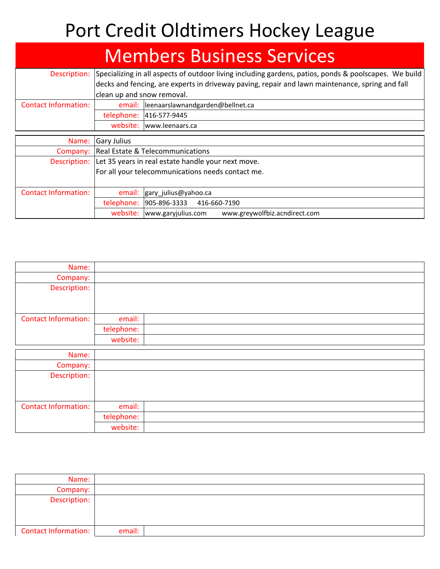## Port Credit Oldtimers Hockey League

#### **Members Business Services** Description: Specializing in all aspects of outdoor living including gardens, patios, ponds & poolscapes. We build decks and fencing, are experts in driveway paving, repair and lawn maintenance, spring and fall clean up and snow removal. Contact Information: email: leenaarslawnandgarden@bellnet.ca telephone: 416-577-9445 website: www.leenaars.ca

| Name:                       | Gary Julius                                       |                                                                 |  |  |
|-----------------------------|---------------------------------------------------|-----------------------------------------------------------------|--|--|
| Company:                    | Real Estate & Telecommunications                  |                                                                 |  |  |
|                             |                                                   | Description: Let 35 years in real estate handle your next move. |  |  |
|                             | For all your telecommunications needs contact me. |                                                                 |  |  |
|                             |                                                   |                                                                 |  |  |
| <b>Contact Information:</b> |                                                   | email:  gary julius@yahoo.ca                                    |  |  |
|                             |                                                   | telephone:  905-896-3333 416-660-7190                           |  |  |
|                             | website:                                          | www.garyjulius.com<br>www.greywolfbiz.acndirect.com             |  |  |

| Name:                       |            |  |
|-----------------------------|------------|--|
| Company:                    |            |  |
| Description:                |            |  |
|                             |            |  |
|                             |            |  |
| <b>Contact Information:</b> | email:     |  |
|                             | telephone: |  |
|                             | website:   |  |

| Name:                       |            |  |
|-----------------------------|------------|--|
|                             |            |  |
| Company:                    |            |  |
| Description:                |            |  |
|                             |            |  |
| <b>Contact Information:</b> | email:     |  |
|                             | telephone: |  |
|                             | website:   |  |

| Name:                |        |  |
|----------------------|--------|--|
| Company:             |        |  |
| Description:         |        |  |
|                      |        |  |
| Contact Information: | email: |  |